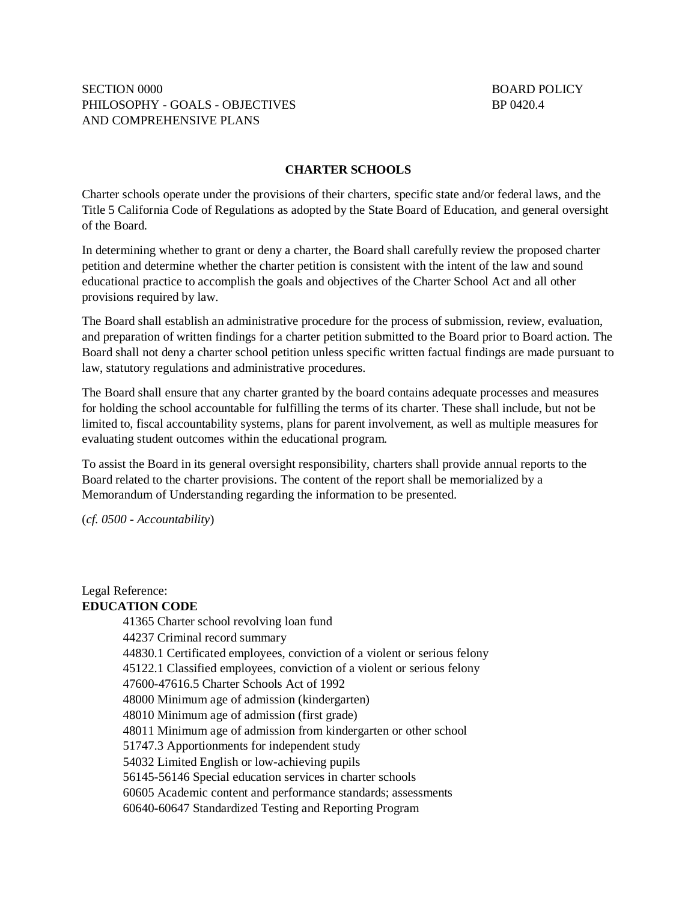## SECTION 0000 BOARD POLICY PHILOSOPHY - GOALS - OBJECTIVES BP 0420.4 AND COMPREHENSIVE PLANS

#### **CHARTER SCHOOLS**

Charter schools operate under the provisions of their charters, specific state and/or federal laws, and the Title 5 California Code of Regulations as adopted by the State Board of Education, and general oversight of the Board.

In determining whether to grant or deny a charter, the Board shall carefully review the proposed charter petition and determine whether the charter petition is consistent with the intent of the law and sound educational practice to accomplish the goals and objectives of the Charter School Act and all other provisions required by law.

The Board shall establish an administrative procedure for the process of submission, review, evaluation, and preparation of written findings for a charter petition submitted to the Board prior to Board action. The Board shall not deny a charter school petition unless specific written factual findings are made pursuant to law, statutory regulations and administrative procedures.

The Board shall ensure that any charter granted by the board contains adequate processes and measures for holding the school accountable for fulfilling the terms of its charter. These shall include, but not be limited to, fiscal accountability systems, plans for parent involvement, as well as multiple measures for evaluating student outcomes within the educational program.

To assist the Board in its general oversight responsibility, charters shall provide annual reports to the Board related to the charter provisions. The content of the report shall be memorialized by a Memorandum of Understanding regarding the information to be presented.

(*cf. 0500 - Accountability*)

# Legal Reference: **EDUCATION CODE** 41365 Charter school revolving loan fund 44237 Criminal record summary 44830.1 Certificated employees, conviction of a violent or serious felony 45122.1 Classified employees, conviction of a violent or serious felony 47600-47616.5 Charter Schools Act of 1992 48000 Minimum age of admission (kindergarten) 48010 Minimum age of admission (first grade) 48011 Minimum age of admission from kindergarten or other school 51747.3 Apportionments for independent study 54032 Limited English or low-achieving pupils 56145-56146 Special education services in charter schools 60605 Academic content and performance standards; assessments 60640-60647 Standardized Testing and Reporting Program